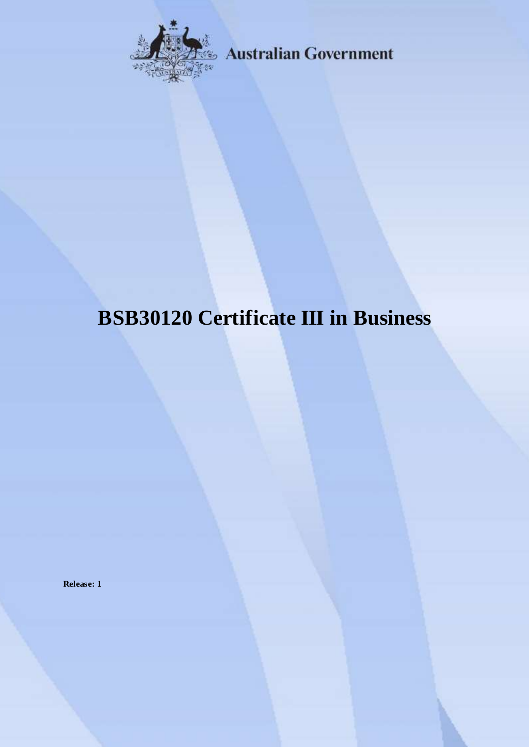

**Australian Government** 

# **BSB30120 Certificate III in Business**

**Release: 1**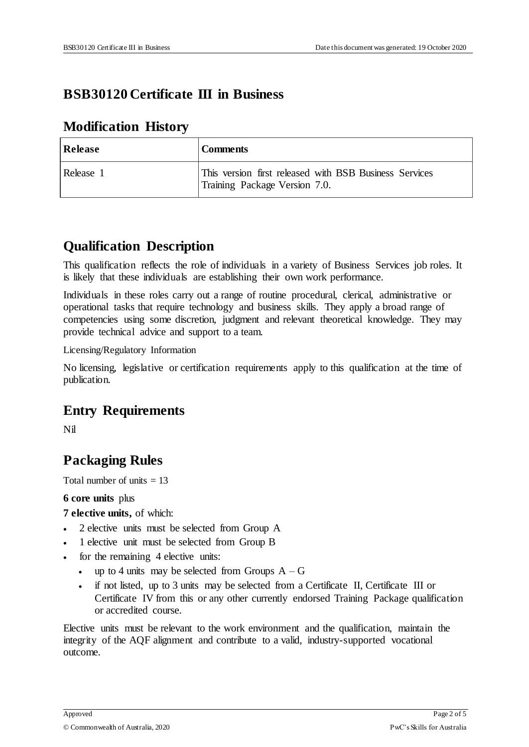# **BSB30120 Certificate III in Business**

#### **Modification History**

| <b>Release</b> | <b>Comments</b>                                                                         |
|----------------|-----------------------------------------------------------------------------------------|
| Release 1      | This version first released with BSB Business Services<br>Training Package Version 7.0. |

### **Qualification Description**

This qualification reflects the role of individuals in a variety of Business Services job roles. It is likely that these individuals are establishing their own work performance.

Individuals in these roles carry out a range of routine procedural, clerical, administrative or operational tasks that require technology and business skills. They apply a broad range of competencies using some discretion, judgment and relevant theoretical knowledge. They may provide technical advice and support to a team.

Licensing/Regulatory Information

No licensing, legislative or certification requirements apply to this qualification at the time of publication.

# **Entry Requirements**

Nil

# **Packaging Rules**

Total number of units  $= 13$ 

**6 core units** plus

**7 elective units,** of which:

- 2 elective units must be selected from Group A
- 1 elective unit must be selected from Group B
- for the remaining 4 elective units:
	- up to 4 units may be selected from Groups  $A G$
	- if not listed, up to 3 units may be selected from a Certificate II, Certificate III or Certificate IV from this or any other currently endorsed Training Package qualification or accredited course.

Elective units must be relevant to the work environment and the qualification, maintain the integrity of the AQF alignment and contribute to a valid, industry-supported vocational outcome.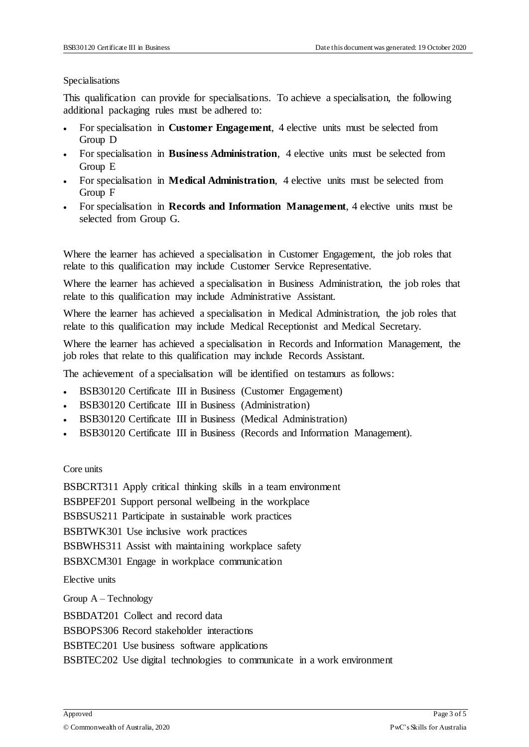#### Specialisations

This qualification can provide for specialisations. To achieve a specialisation, the following additional packaging rules must be adhered to:

- For specialisation in **Customer Engagement**, 4 elective units must be selected from Group D
- For specialisation in **Business Administration**, 4 elective units must be selected from Group E
- For specialisation in **Medical Administration**, 4 elective units must be selected from Group F
- For specialisation in **Records and Information Management**, 4 elective units must be selected from Group G.

Where the learner has achieved a specialisation in Customer Engagement, the job roles that relate to this qualification may include Customer Service Representative.

Where the learner has achieved a specialisation in Business Administration, the job roles that relate to this qualification may include Administrative Assistant.

Where the learner has achieved a specialisation in Medical Administration, the job roles that relate to this qualification may include Medical Receptionist and Medical Secretary.

Where the learner has achieved a specialisation in Records and Information Management, the job roles that relate to this qualification may include Records Assistant.

The achievement of a specialisation will be identified on testamurs as follows:

- BSB30120 Certificate III in Business (Customer Engagement)
- BSB30120 Certificate III in Business (Administration)
- BSB30120 Certificate III in Business (Medical Administration)
- BSB30120 Certificate III in Business (Records and Information Management).

Core units

BSBCRT311 Apply critical thinking skills in a team environment

BSBPEF201 Support personal wellbeing in the workplace

BSBSUS211 Participate in sustainable work practices

BSBTWK301 Use inclusive work practices

BSBWHS311 Assist with maintaining workplace safety

BSBXCM301 Engage in workplace communication

Elective units

Group A – Technology

BSBDAT201 Collect and record data

BSBOPS306 Record stakeholder interactions

BSBTEC201 Use business software applications

BSBTEC202 Use digital technologies to communicate in a work environment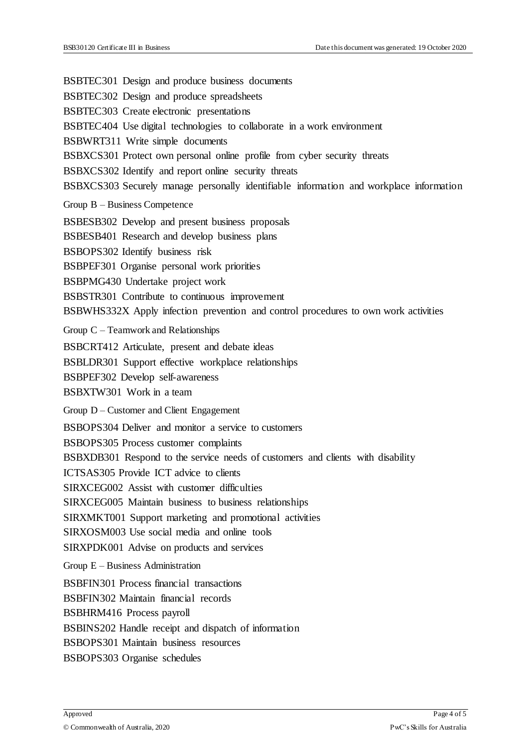BSBTEC301 Design and produce business documents BSBTEC302 Design and produce spreadsheets BSBTEC303 Create electronic presentations BSBTEC404 Use digital technologies to collaborate in a work environment BSBWRT311 Write simple documents BSBXCS301 Protect own personal online profile from cyber security threats BSBXCS302 Identify and report online security threats BSBXCS303 Securely manage personally identifiable information and workplace information Group B – Business Competence BSBESB302 Develop and present business proposals BSBESB401 Research and develop business plans BSBOPS302 Identify business risk BSBPEF301 Organise personal work priorities BSBPMG430 Undertake project work BSBSTR301 Contribute to continuous improvement BSBWHS332X Apply infection prevention and control procedures to own work activities Group C – Teamwork and Relationships BSBCRT412 Articulate, present and debate ideas BSBLDR301 Support effective workplace relationships BSBPEF302 Develop self-awareness BSBXTW301 Work in a team Group D – Customer and Client Engagement BSBOPS304 Deliver and monitor a service to customers BSBOPS305 Process customer complaints BSBXDB301 Respond to the service needs of customers and clients with disability ICTSAS305 Provide ICT advice to clients SIRXCEG002 Assist with customer difficulties SIRXCEG005 Maintain business to business relationships SIRXMKT001 Support marketing and promotional activities SIRXOSM003 Use social media and online tools SIRXPDK001 Advise on products and services Group E – Business Administration BSBFIN301 Process financial transactions BSBFIN302 Maintain financial records BSBHRM416 Process payroll BSBINS202 Handle receipt and dispatch of information BSBOPS301 Maintain business resources BSBOPS303 Organise schedules